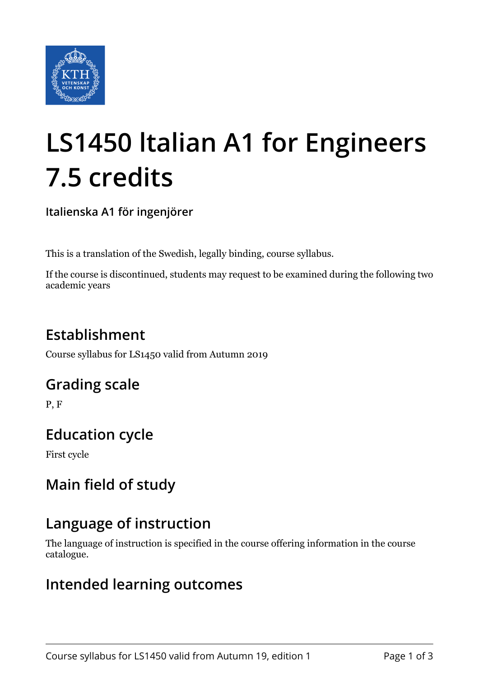

# **LS1450 ltalian A1 for Engineers 7.5 credits**

**Italienska A1 för ingenjörer**

This is a translation of the Swedish, legally binding, course syllabus.

If the course is discontinued, students may request to be examined during the following two academic years

## **Establishment**

Course syllabus for LS1450 valid from Autumn 2019

#### **Grading scale**

P, F

#### **Education cycle**

First cycle

## **Main field of study**

## **Language of instruction**

The language of instruction is specified in the course offering information in the course catalogue.

#### **Intended learning outcomes**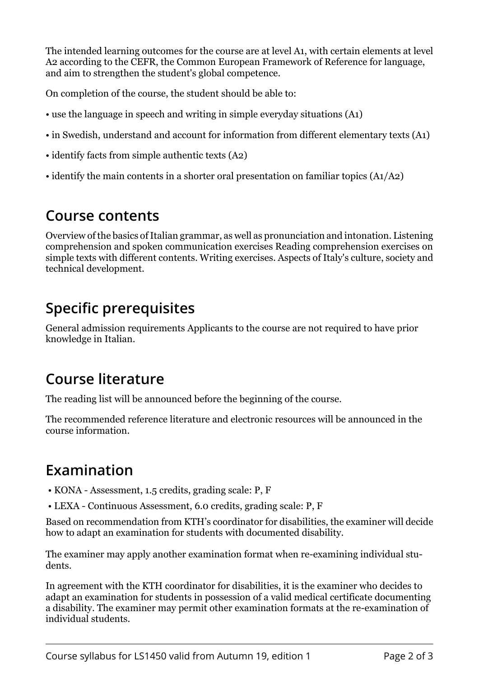The intended learning outcomes for the course are at level A1, with certain elements at level A2 according to the CEFR, the Common European Framework of Reference for language, and aim to strengthen the student's global competence.

On completion of the course, the student should be able to:

- use the language in speech and writing in simple everyday situations (A1)
- in Swedish, understand and account for information from different elementary texts (A1)
- identify facts from simple authentic texts (A2)
- identify the main contents in a shorter oral presentation on familiar topics (A1/A2)

#### **Course contents**

Overview of the basics of Italian grammar, as well as pronunciation and intonation. Listening comprehension and spoken communication exercises Reading comprehension exercises on simple texts with different contents. Writing exercises. Aspects of Italy's culture, society and technical development.

## **Specific prerequisites**

General admission requirements Applicants to the course are not required to have prior knowledge in Italian.

## **Course literature**

The reading list will be announced before the beginning of the course.

The recommended reference literature and electronic resources will be announced in the course information.

## **Examination**

- KONA Assessment, 1.5 credits, grading scale: P, F
- LEXA Continuous Assessment, 6.0 credits, grading scale: P, F

Based on recommendation from KTH's coordinator for disabilities, the examiner will decide how to adapt an examination for students with documented disability.

The examiner may apply another examination format when re-examining individual students.

In agreement with the KTH coordinator for disabilities, it is the examiner who decides to adapt an examination for students in possession of a valid medical certificate documenting a disability. The examiner may permit other examination formats at the re-examination of individual students.